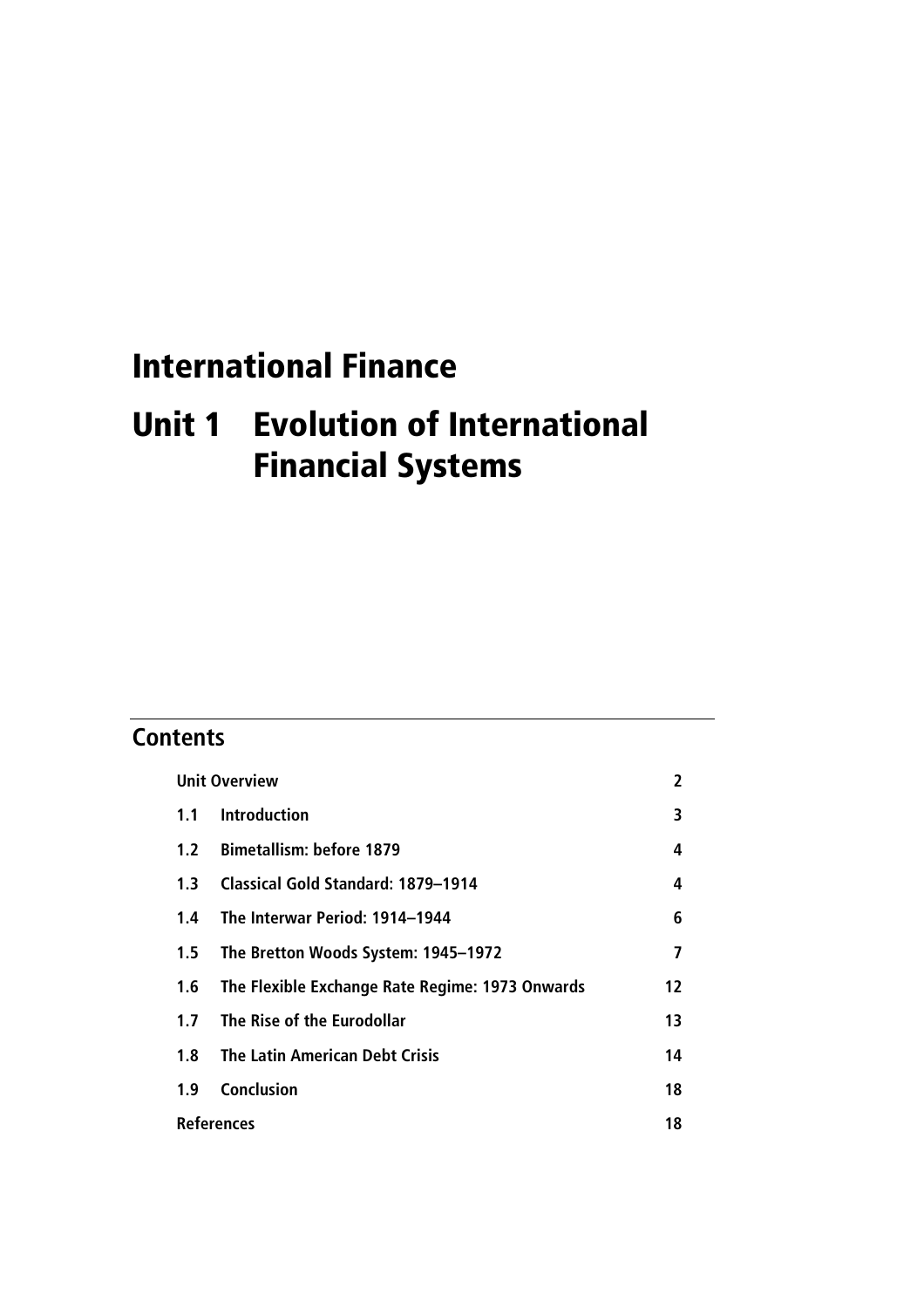# International Finance

# Unit 1 Evolution of International Financial Systems

# **Contents**

| <b>Unit Overview</b> |                                                 | 2  |
|----------------------|-------------------------------------------------|----|
| 1.1                  | <b>Introduction</b>                             | 3  |
| 1.2                  | <b>Bimetallism: before 1879</b>                 | 4  |
| 1.3                  | <b>Classical Gold Standard: 1879-1914</b>       | 4  |
| 1.4                  | The Interwar Period: 1914–1944                  | 6  |
| 1.5                  | The Bretton Woods System: 1945-1972             | 7  |
| 1.6                  | The Flexible Exchange Rate Regime: 1973 Onwards | 12 |
| 1.7                  | The Rise of the Eurodollar                      | 13 |
| 1.8                  | <b>The Latin American Debt Crisis</b>           | 14 |
| 1.9                  | <b>Conclusion</b>                               | 18 |
| <b>References</b>    |                                                 |    |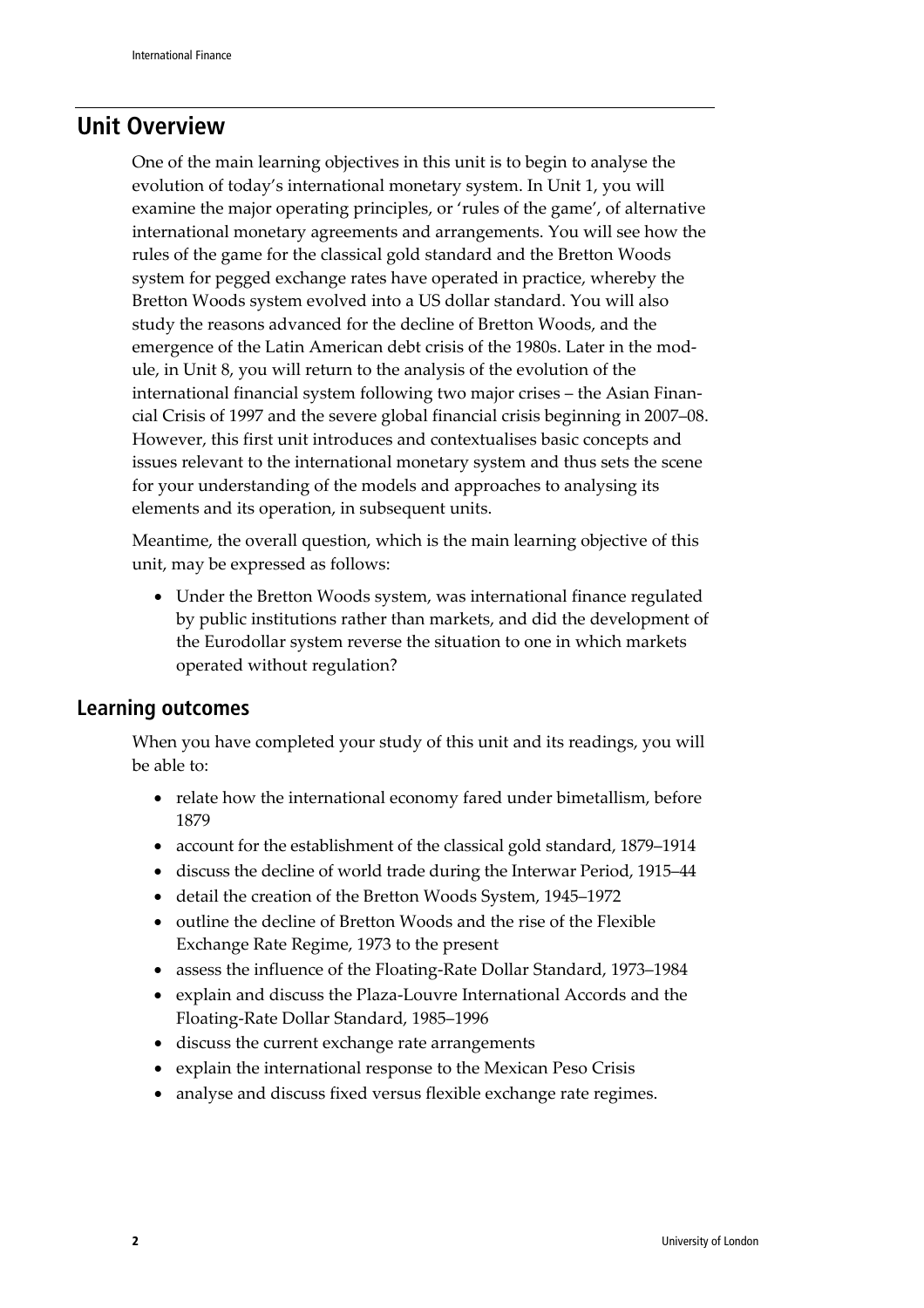### **Unit Overview**

One of the main learning objectives in this unit is to begin to analyse the evolution of today's international monetary system. In Unit 1, you will examine the major operating principles, or 'rules of the game', of alternative international monetary agreements and arrangements. You will see how the rules of the game for the classical gold standard and the Bretton Woods system for pegged exchange rates have operated in practice, whereby the Bretton Woods system evolved into a US dollar standard. You will also study the reasons advanced for the decline of Bretton Woods, and the emergence of the Latin American debt crisis of the 1980s. Later in the module, in Unit 8, you will return to the analysis of the evolution of the international financial system following two major crises – the Asian Financial Crisis of 1997 and the severe global financial crisis beginning in 2007–08. However, this first unit introduces and contextualises basic concepts and issues relevant to the international monetary system and thus sets the scene for your understanding of the models and approaches to analysing its elements and its operation, in subsequent units.

Meantime, the overall question, which is the main learning objective of this unit, may be expressed as follows:

• Under the Bretton Woods system, was international finance regulated by public institutions rather than markets, and did the development of the Eurodollar system reverse the situation to one in which markets operated without regulation?

#### **Learning outcomes**

When you have completed your study of this unit and its readings, you will be able to:

- relate how the international economy fared under bimetallism, before 1879
- account for the establishment of the classical gold standard, 1879–1914
- discuss the decline of world trade during the Interwar Period, 1915–44
- detail the creation of the Bretton Woods System, 1945–1972
- outline the decline of Bretton Woods and the rise of the Flexible Exchange Rate Regime, 1973 to the present
- assess the influence of the Floating-Rate Dollar Standard, 1973–1984
- explain and discuss the Plaza-Louvre International Accords and the Floating-Rate Dollar Standard, 1985–1996
- discuss the current exchange rate arrangements
- explain the international response to the Mexican Peso Crisis
- analyse and discuss fixed versus flexible exchange rate regimes.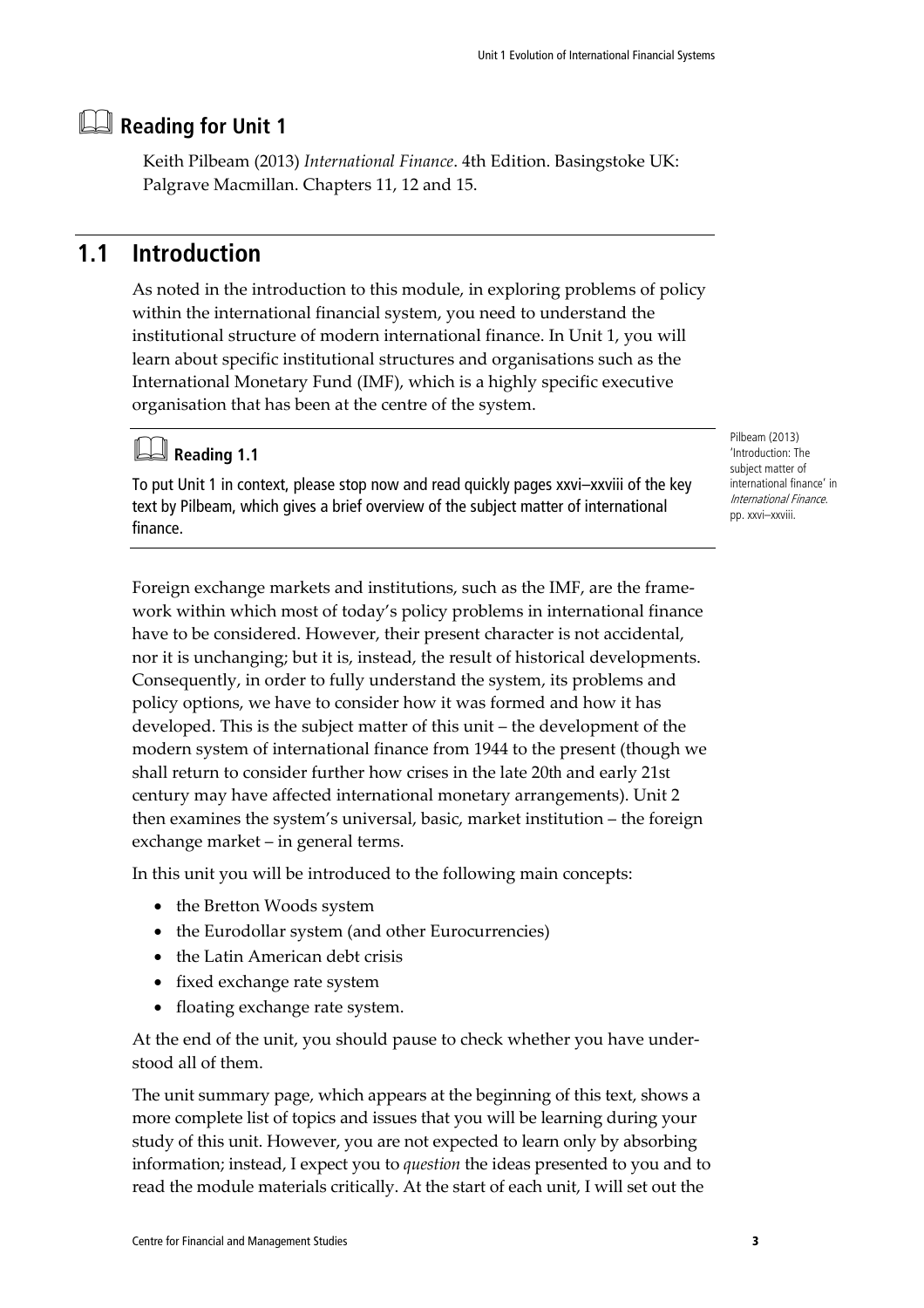# **Reading for Unit 1**

Keith Pilbeam (2013) *International Finance*. 4th Edition. Basingstoke UK: Palgrave Macmillan. Chapters 11, 12 and 15.

### **1.1 Introduction**

As noted in the introduction to this module, in exploring problems of policy within the international financial system, you need to understand the institutional structure of modern international finance. In Unit 1, you will learn about specific institutional structures and organisations such as the International Monetary Fund (IMF), which is a highly specific executive organisation that has been at the centre of the system.

## **Reading 1.1**

To put Unit 1 in context, please stop now and read quickly pages xxvi–xxviii of the key text by Pilbeam, which gives a brief overview of the subject matter of international finance.

Foreign exchange markets and institutions, such as the IMF, are the framework within which most of today's policy problems in international finance have to be considered. However, their present character is not accidental, nor it is unchanging; but it is, instead, the result of historical developments. Consequently, in order to fully understand the system, its problems and policy options, we have to consider how it was formed and how it has developed. This is the subject matter of this unit – the development of the modern system of international finance from 1944 to the present (though we shall return to consider further how crises in the late 20th and early 21st century may have affected international monetary arrangements). Unit 2 then examines the system's universal, basic, market institution – the foreign exchange market – in general terms.

In this unit you will be introduced to the following main concepts:

- the Bretton Woods system
- the Eurodollar system (and other Eurocurrencies)
- the Latin American debt crisis
- fixed exchange rate system
- floating exchange rate system.

At the end of the unit, you should pause to check whether you have understood all of them.

The unit summary page, which appears at the beginning of this text, shows a more complete list of topics and issues that you will be learning during your study of this unit. However, you are not expected to learn only by absorbing information; instead, I expect you to *question* the ideas presented to you and to read the module materials critically. At the start of each unit, I will set out the

Pilbeam (2013) 'Introduction: The subject matter of international finance' in International Finance. pp. xxvi–xxviii.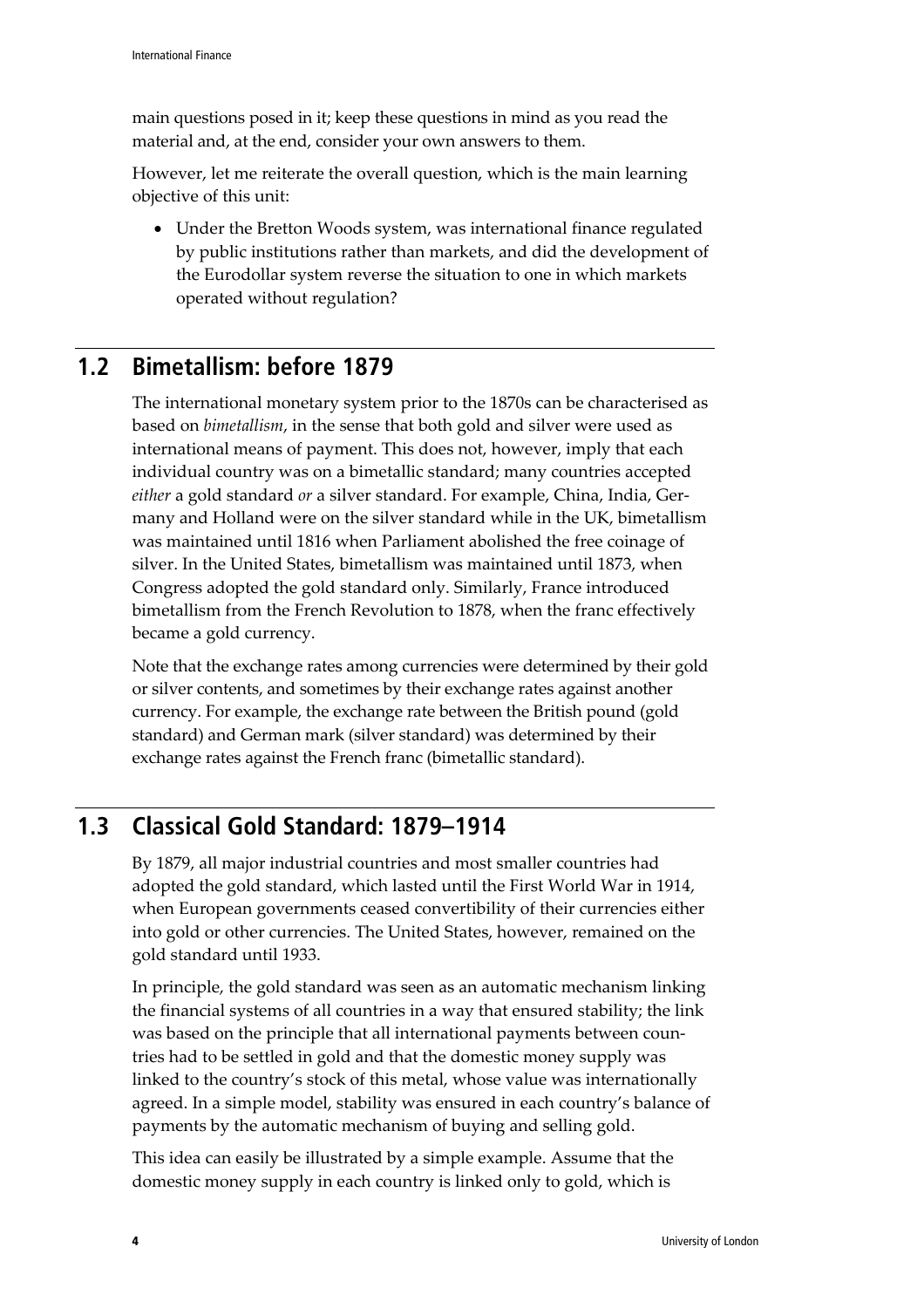main questions posed in it; keep these questions in mind as you read the material and, at the end, consider your own answers to them.

However, let me reiterate the overall question, which is the main learning objective of this unit:

• Under the Bretton Woods system, was international finance regulated by public institutions rather than markets, and did the development of the Eurodollar system reverse the situation to one in which markets operated without regulation?

### **1.2 Bimetallism: before 1879**

The international monetary system prior to the 1870s can be characterised as based on *bimetallism*, in the sense that both gold and silver were used as international means of payment. This does not, however, imply that each individual country was on a bimetallic standard; many countries accepted *either* a gold standard *or* a silver standard. For example, China, India, Germany and Holland were on the silver standard while in the UK, bimetallism was maintained until 1816 when Parliament abolished the free coinage of silver. In the United States, bimetallism was maintained until 1873, when Congress adopted the gold standard only. Similarly, France introduced bimetallism from the French Revolution to 1878, when the franc effectively became a gold currency.

Note that the exchange rates among currencies were determined by their gold or silver contents, and sometimes by their exchange rates against another currency. For example, the exchange rate between the British pound (gold standard) and German mark (silver standard) was determined by their exchange rates against the French franc (bimetallic standard).

# **1.3 Classical Gold Standard: 1879–1914**

By 1879, all major industrial countries and most smaller countries had adopted the gold standard, which lasted until the First World War in 1914, when European governments ceased convertibility of their currencies either into gold or other currencies. The United States, however, remained on the gold standard until 1933.

In principle, the gold standard was seen as an automatic mechanism linking the financial systems of all countries in a way that ensured stability; the link was based on the principle that all international payments between countries had to be settled in gold and that the domestic money supply was linked to the country's stock of this metal, whose value was internationally agreed. In a simple model, stability was ensured in each country's balance of payments by the automatic mechanism of buying and selling gold.

This idea can easily be illustrated by a simple example. Assume that the domestic money supply in each country is linked only to gold, which is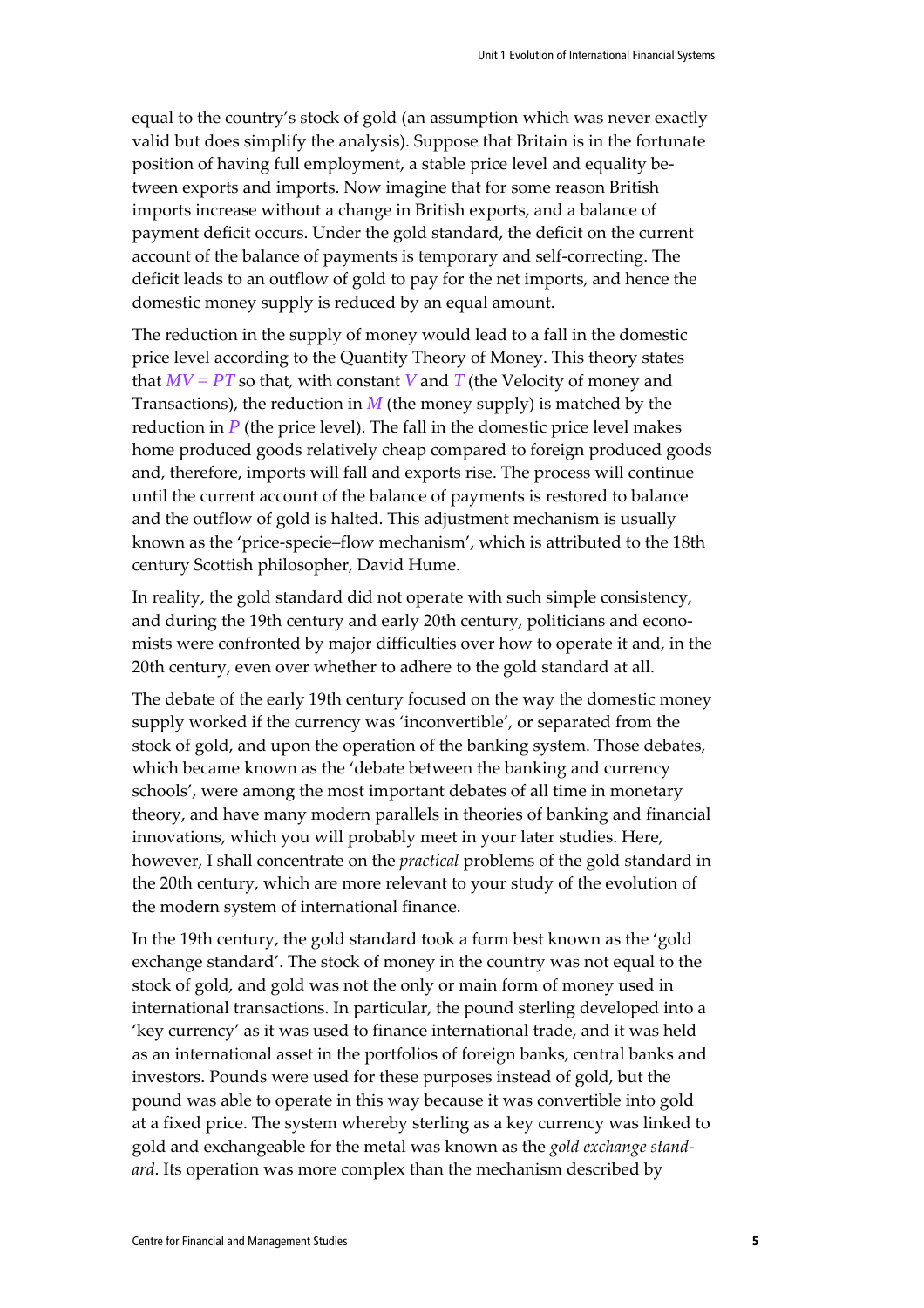equal to the country's stock of gold (an assumption which was never exactly valid but does simplify the analysis). Suppose that Britain is in the fortunate position of having full employment, a stable price level and equality between exports and imports. Now imagine that for some reason British imports increase without a change in British exports, and a balance of payment deficit occurs. Under the gold standard, the deficit on the current account of the balance of payments is temporary and self-correcting. The deficit leads to an outflow of gold to pay for the net imports, and hence the domestic money supply is reduced by an equal amount.

The reduction in the supply of money would lead to a fall in the domestic price level according to the Quantity Theory of Money. This theory states that  $MV = PT$  so that, with constant *V* and *T* (the Velocity of money and Transactions), the reduction in  $M$  (the money supply) is matched by the reduction in  $P$  (the price level). The fall in the domestic price level makes home produced goods relatively cheap compared to foreign produced goods and, therefore, imports will fall and exports rise. The process will continue until the current account of the balance of payments is restored to balance and the outflow of gold is halted. This adjustment mechanism is usually known as the 'price-specie–flow mechanism', which is attributed to the 18th century Scottish philosopher, David Hume.

In reality, the gold standard did not operate with such simple consistency, and during the 19th century and early 20th century, politicians and economists were confronted by major difficulties over how to operate it and, in the 20th century, even over whether to adhere to the gold standard at all.

The debate of the early 19th century focused on the way the domestic money supply worked if the currency was 'inconvertible', or separated from the stock of gold, and upon the operation of the banking system. Those debates, which became known as the 'debate between the banking and currency schools', were among the most important debates of all time in monetary theory, and have many modern parallels in theories of banking and financial innovations, which you will probably meet in your later studies. Here, however, I shall concentrate on the *practical* problems of the gold standard in the 20th century, which are more relevant to your study of the evolution of the modern system of international finance.

In the 19th century, the gold standard took a form best known as the 'gold exchange standard'. The stock of money in the country was not equal to the stock of gold, and gold was not the only or main form of money used in international transactions. In particular, the pound sterling developed into a 'key currency' as it was used to finance international trade, and it was held as an international asset in the portfolios of foreign banks, central banks and investors. Pounds were used for these purposes instead of gold, but the pound was able to operate in this way because it was convertible into gold at a fixed price. The system whereby sterling as a key currency was linked to gold and exchangeable for the metal was known as the *gold exchange standard*. Its operation was more complex than the mechanism described by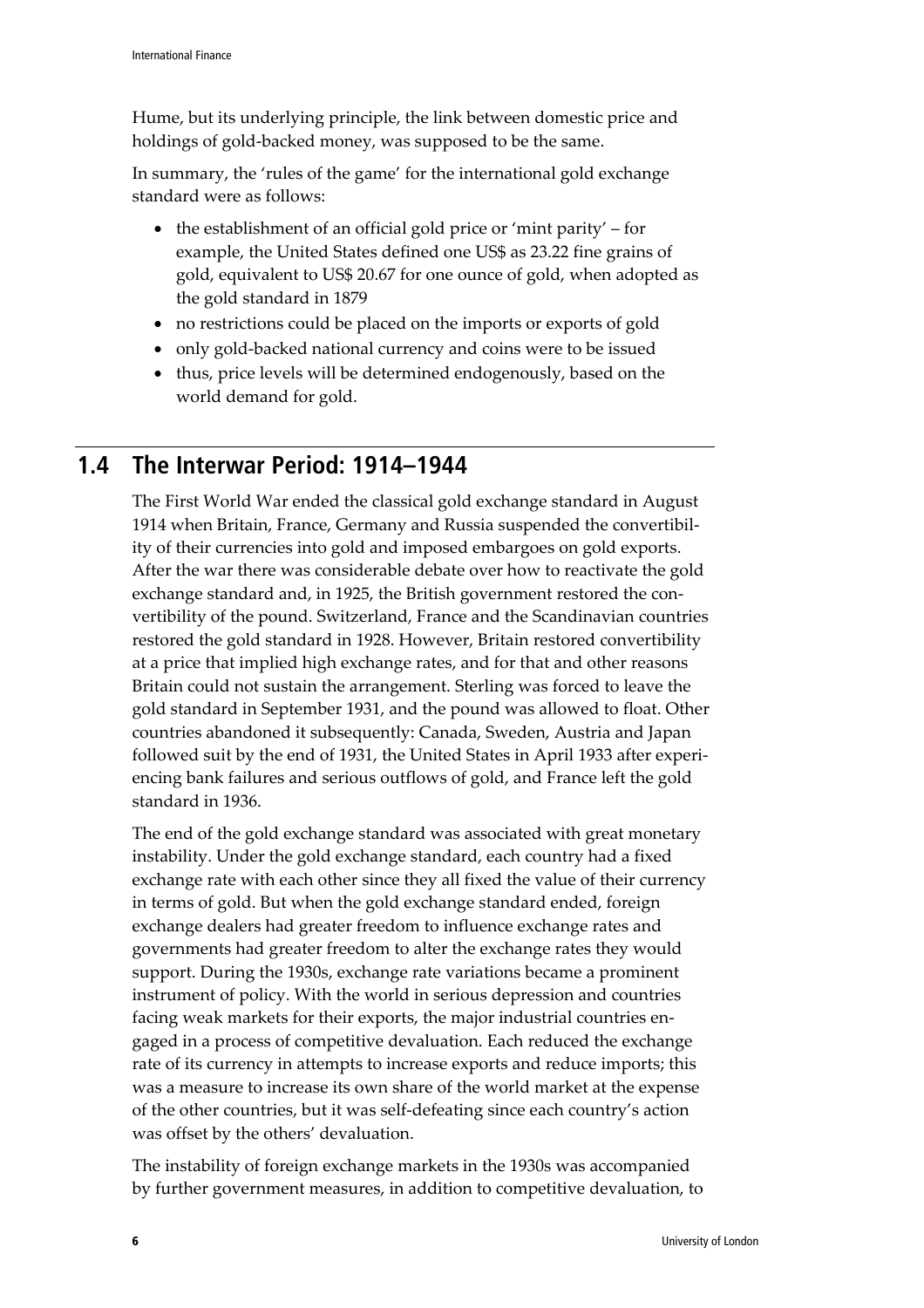Hume, but its underlying principle, the link between domestic price and holdings of gold-backed money, was supposed to be the same.

In summary, the 'rules of the game' for the international gold exchange standard were as follows:

- the establishment of an official gold price or 'mint parity' for example, the United States defined one US\$ as 23.22 fine grains of gold, equivalent to US\$ 20.67 for one ounce of gold, when adopted as the gold standard in 1879
- no restrictions could be placed on the imports or exports of gold
- only gold-backed national currency and coins were to be issued
- thus, price levels will be determined endogenously, based on the world demand for gold.

### **1.4 The Interwar Period: 1914–1944**

The First World War ended the classical gold exchange standard in August 1914 when Britain, France, Germany and Russia suspended the convertibility of their currencies into gold and imposed embargoes on gold exports. After the war there was considerable debate over how to reactivate the gold exchange standard and, in 1925, the British government restored the convertibility of the pound. Switzerland, France and the Scandinavian countries restored the gold standard in 1928. However, Britain restored convertibility at a price that implied high exchange rates, and for that and other reasons Britain could not sustain the arrangement. Sterling was forced to leave the gold standard in September 1931, and the pound was allowed to float. Other countries abandoned it subsequently: Canada, Sweden, Austria and Japan followed suit by the end of 1931, the United States in April 1933 after experiencing bank failures and serious outflows of gold, and France left the gold standard in 1936.

The end of the gold exchange standard was associated with great monetary instability. Under the gold exchange standard, each country had a fixed exchange rate with each other since they all fixed the value of their currency in terms of gold. But when the gold exchange standard ended, foreign exchange dealers had greater freedom to influence exchange rates and governments had greater freedom to alter the exchange rates they would support. During the 1930s, exchange rate variations became a prominent instrument of policy. With the world in serious depression and countries facing weak markets for their exports, the major industrial countries engaged in a process of competitive devaluation. Each reduced the exchange rate of its currency in attempts to increase exports and reduce imports; this was a measure to increase its own share of the world market at the expense of the other countries, but it was self-defeating since each country's action was offset by the others' devaluation.

The instability of foreign exchange markets in the 1930s was accompanied by further government measures, in addition to competitive devaluation, to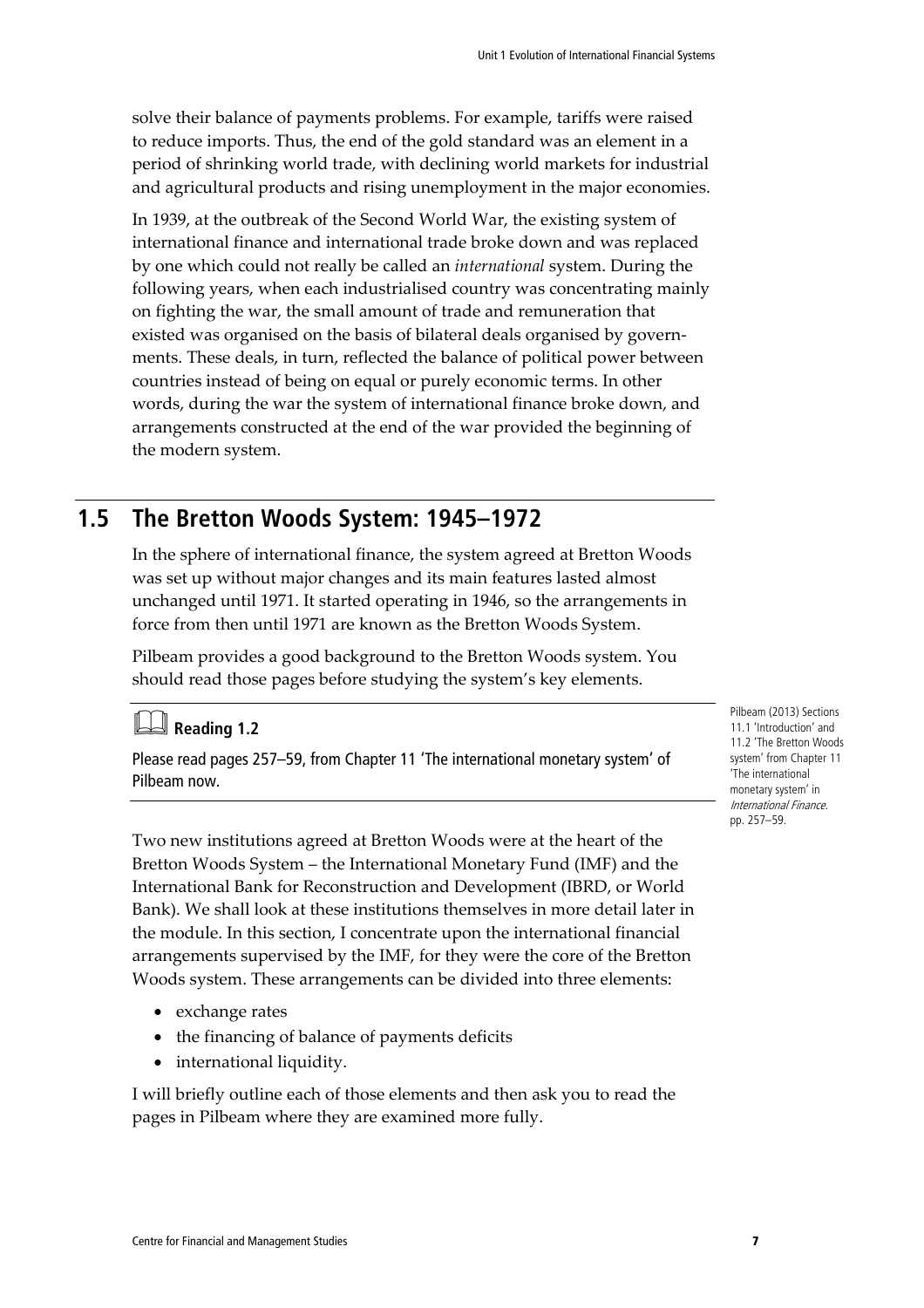solve their balance of payments problems. For example, tariffs were raised to reduce imports. Thus, the end of the gold standard was an element in a period of shrinking world trade, with declining world markets for industrial and agricultural products and rising unemployment in the major economies.

In 1939, at the outbreak of the Second World War, the existing system of international finance and international trade broke down and was replaced by one which could not really be called an *international* system. During the following years, when each industrialised country was concentrating mainly on fighting the war, the small amount of trade and remuneration that existed was organised on the basis of bilateral deals organised by governments. These deals, in turn, reflected the balance of political power between countries instead of being on equal or purely economic terms. In other words, during the war the system of international finance broke down, and arrangements constructed at the end of the war provided the beginning of the modern system.

### **1.5 The Bretton Woods System: 1945–1972**

In the sphere of international finance, the system agreed at Bretton Woods was set up without major changes and its main features lasted almost unchanged until 1971. It started operating in 1946, so the arrangements in force from then until 1971 are known as the Bretton Woods System.

Pilbeam provides a good background to the Bretton Woods system. You should read those pages before studying the system's key elements.

# **Reading 1.2**

Please read pages 257–59, from Chapter 11 'The international monetary system' of Pilbeam now.

Two new institutions agreed at Bretton Woods were at the heart of the Bretton Woods System – the International Monetary Fund (IMF) and the International Bank for Reconstruction and Development (IBRD, or World Bank). We shall look at these institutions themselves in more detail later in the module. In this section, I concentrate upon the international financial arrangements supervised by the IMF, for they were the core of the Bretton Woods system. These arrangements can be divided into three elements:

- exchange rates
- the financing of balance of payments deficits
- international liquidity.

I will briefly outline each of those elements and then ask you to read the pages in Pilbeam where they are examined more fully.

Pilbeam (2013) Sections 11.1 'Introduction' and 11.2 'The Bretton Woods system' from Chapter 11 'The international monetary system' in International Finance. pp. 257–59.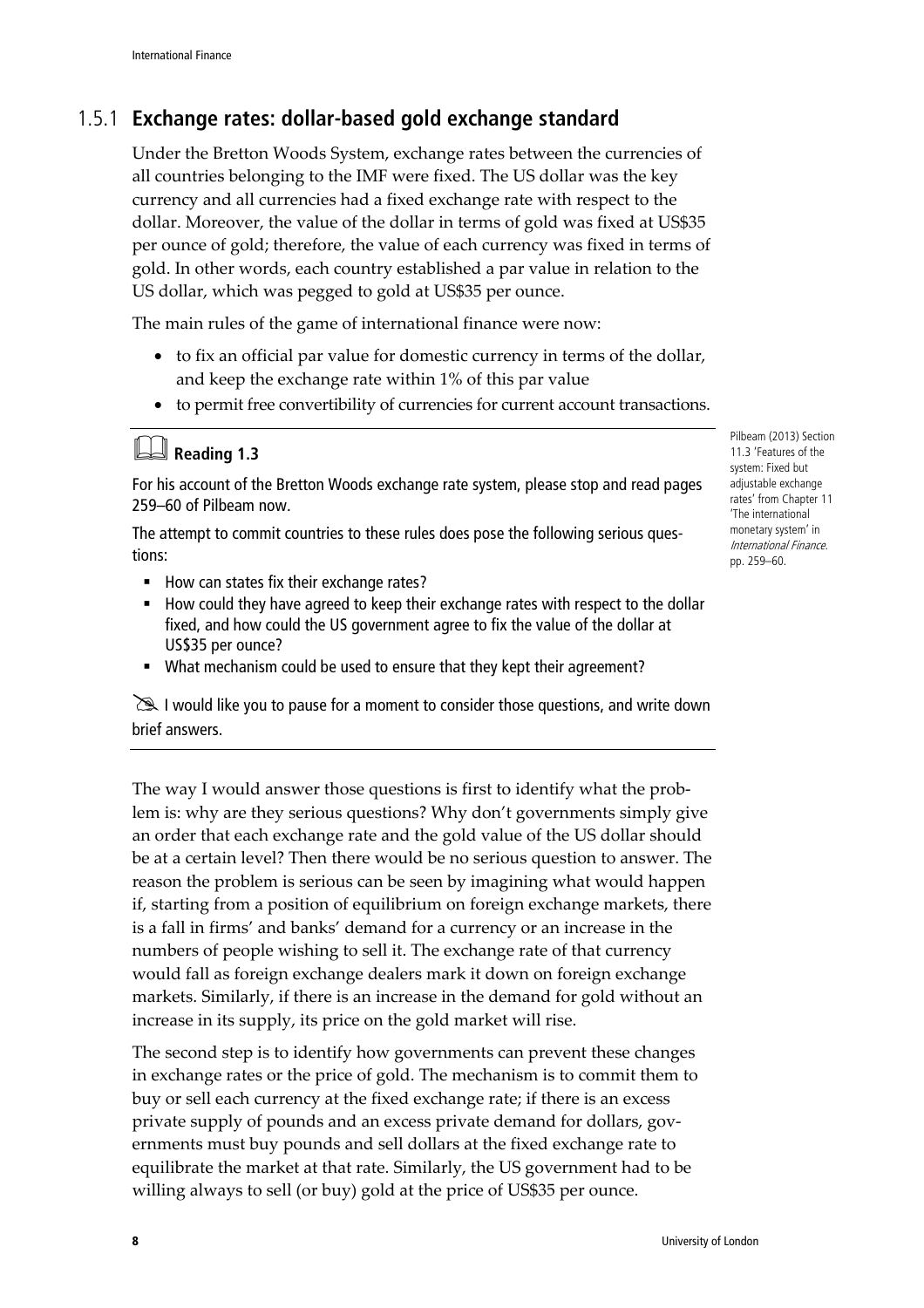## 1.5.1 **Exchange rates: dollar-based gold exchange standard**

Under the Bretton Woods System, exchange rates between the currencies of all countries belonging to the IMF were fixed. The US dollar was the key currency and all currencies had a fixed exchange rate with respect to the dollar. Moreover, the value of the dollar in terms of gold was fixed at US\$35 per ounce of gold; therefore, the value of each currency was fixed in terms of gold. In other words, each country established a par value in relation to the US dollar, which was pegged to gold at US\$35 per ounce.

The main rules of the game of international finance were now:

- to fix an official par value for domestic currency in terms of the dollar, and keep the exchange rate within 1% of this par value
- to permit free convertibility of currencies for current account transactions.

|  | <b>Ed</b> Reading 1.3 |  |
|--|-----------------------|--|
|--|-----------------------|--|

For his account of the Bretton Woods exchange rate system, please stop and read pages 259–60 of Pilbeam now.

The attempt to commit countries to these rules does pose the following serious questions:

- How can states fix their exchange rates?
- How could they have agreed to keep their exchange rates with respect to the dollar fixed, and how could the US government agree to fix the value of the dollar at US\$35 per ounce?
- What mechanism could be used to ensure that they kept their agreement?

I would like you to pause for a moment to consider those questions, and write down brief answers.

The way I would answer those questions is first to identify what the problem is: why are they serious questions? Why don't governments simply give an order that each exchange rate and the gold value of the US dollar should be at a certain level? Then there would be no serious question to answer. The reason the problem is serious can be seen by imagining what would happen if, starting from a position of equilibrium on foreign exchange markets, there is a fall in firms' and banks' demand for a currency or an increase in the numbers of people wishing to sell it. The exchange rate of that currency would fall as foreign exchange dealers mark it down on foreign exchange markets. Similarly, if there is an increase in the demand for gold without an increase in its supply, its price on the gold market will rise.

The second step is to identify how governments can prevent these changes in exchange rates or the price of gold. The mechanism is to commit them to buy or sell each currency at the fixed exchange rate; if there is an excess private supply of pounds and an excess private demand for dollars, governments must buy pounds and sell dollars at the fixed exchange rate to equilibrate the market at that rate. Similarly, the US government had to be willing always to sell (or buy) gold at the price of US\$35 per ounce.

Pilbeam (2013) Section 11.3 'Features of the system: Fixed but adjustable exchange rates' from Chapter 11 'The international monetary system' in International Finance. pp. 259–60.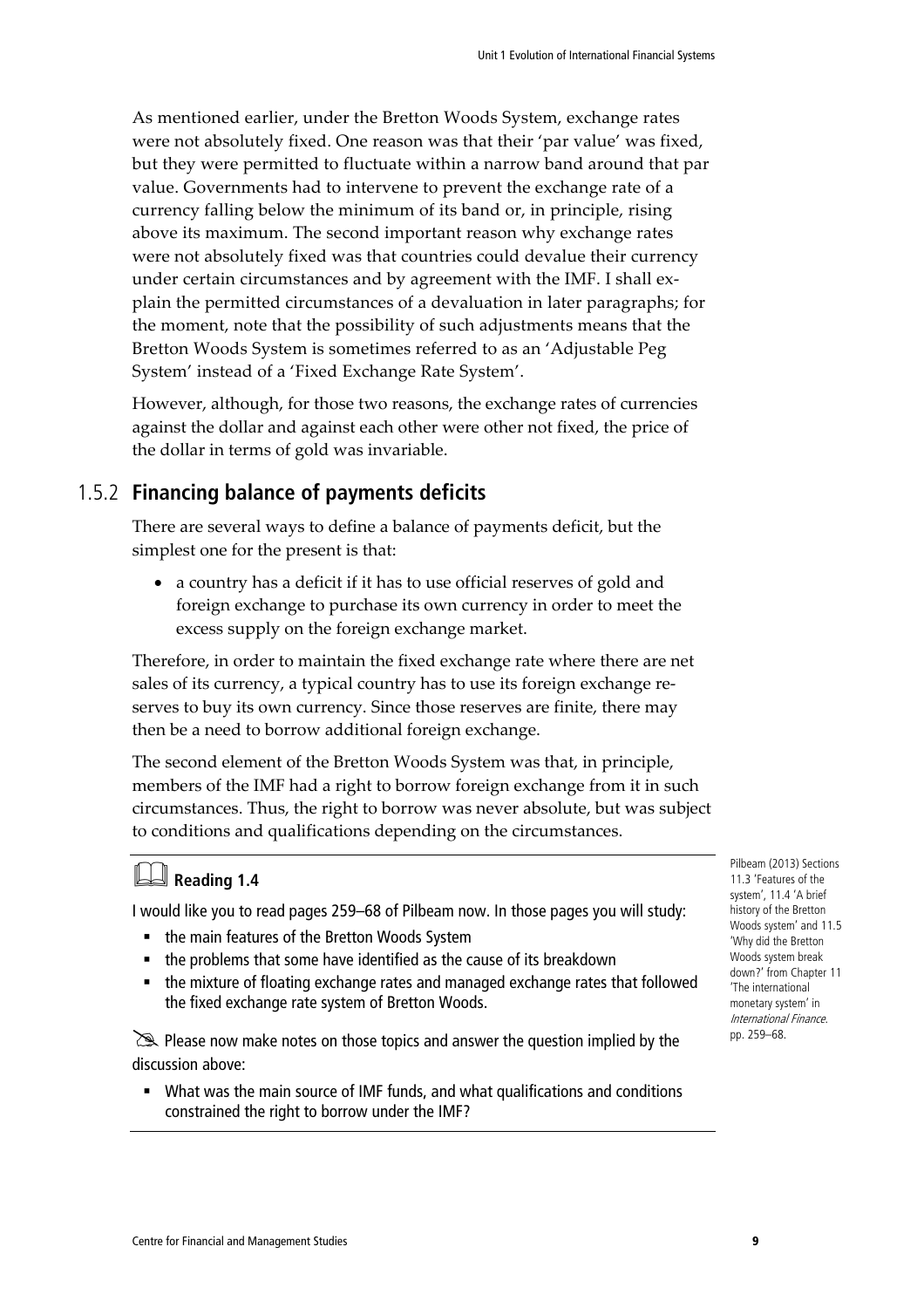As mentioned earlier, under the Bretton Woods System, exchange rates were not absolutely fixed. One reason was that their 'par value' was fixed, but they were permitted to fluctuate within a narrow band around that par value. Governments had to intervene to prevent the exchange rate of a currency falling below the minimum of its band or, in principle, rising above its maximum. The second important reason why exchange rates were not absolutely fixed was that countries could devalue their currency under certain circumstances and by agreement with the IMF. I shall explain the permitted circumstances of a devaluation in later paragraphs; for the moment, note that the possibility of such adjustments means that the Bretton Woods System is sometimes referred to as an 'Adjustable Peg System' instead of a 'Fixed Exchange Rate System'.

However, although, for those two reasons, the exchange rates of currencies against the dollar and against each other were other not fixed, the price of the dollar in terms of gold was invariable.

### 1.5.2 **Financing balance of payments deficits**

There are several ways to define a balance of payments deficit, but the simplest one for the present is that:

• a country has a deficit if it has to use official reserves of gold and foreign exchange to purchase its own currency in order to meet the excess supply on the foreign exchange market.

Therefore, in order to maintain the fixed exchange rate where there are net sales of its currency, a typical country has to use its foreign exchange reserves to buy its own currency. Since those reserves are finite, there may then be a need to borrow additional foreign exchange.

The second element of the Bretton Woods System was that, in principle, members of the IMF had a right to borrow foreign exchange from it in such circumstances. Thus, the right to borrow was never absolute, but was subject to conditions and qualifications depending on the circumstances.

# **Reading 1.4**

I would like you to read pages 259–68 of Pilbeam now. In those pages you will study:

- the main features of the Bretton Woods System
- the problems that some have identified as the cause of its breakdown
- the mixture of floating exchange rates and managed exchange rates that followed the fixed exchange rate system of Bretton Woods.

Please now make notes on those topics and answer the question implied by the discussion above:

 What was the main source of IMF funds, and what qualifications and conditions constrained the right to borrow under the IMF?

Pilbeam (2013) Sections 11.3 'Features of the system', 11.4 'A brief history of the Bretton Woods system' and 11.5 'Why did the Bretton Woods system break down?' from Chapter 11 'The international monetary system' in International Finance. pp. 259–68.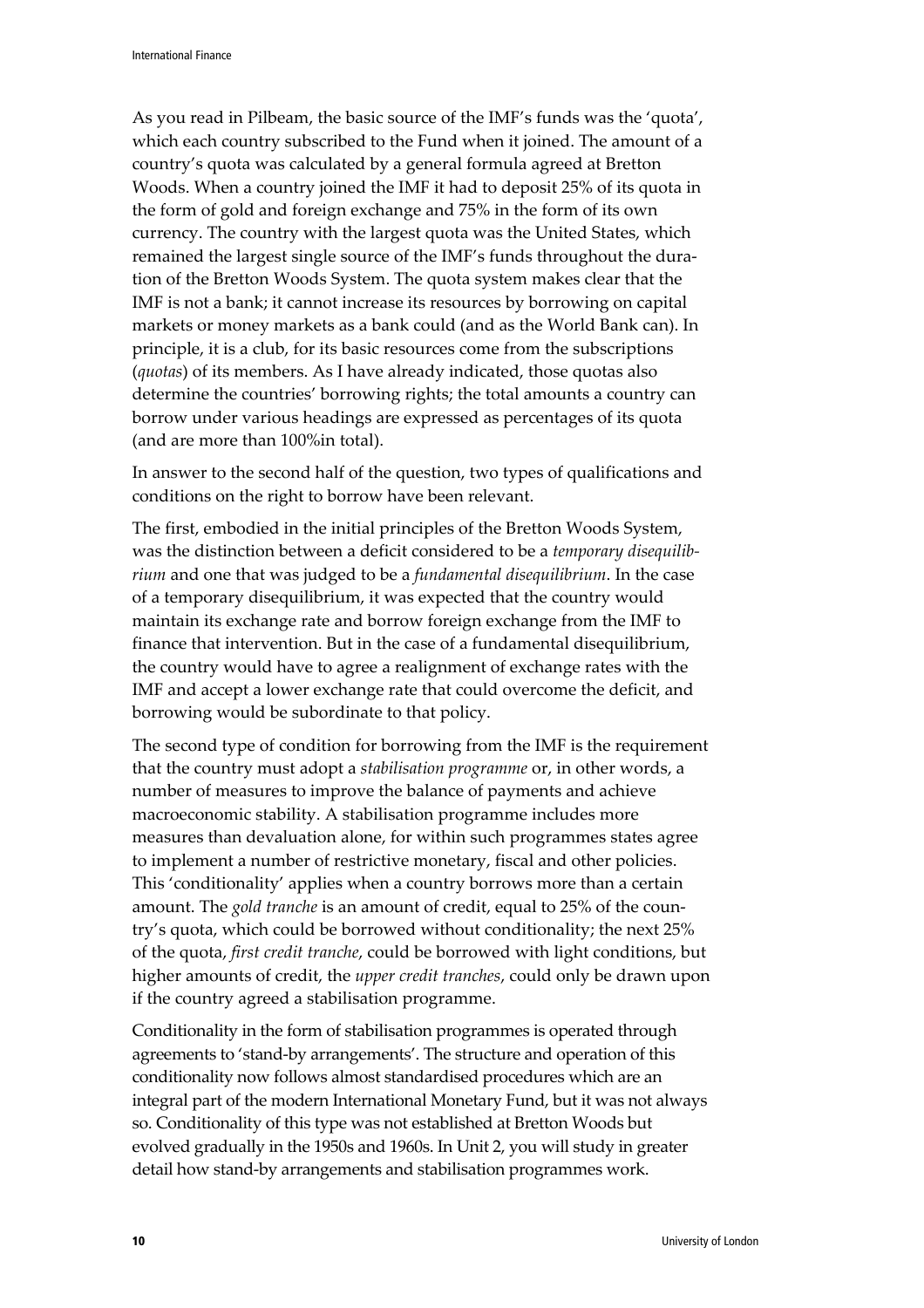As you read in Pilbeam, the basic source of the IMF's funds was the 'quota', which each country subscribed to the Fund when it joined. The amount of a country's quota was calculated by a general formula agreed at Bretton Woods. When a country joined the IMF it had to deposit 25% of its quota in the form of gold and foreign exchange and 75% in the form of its own currency. The country with the largest quota was the United States, which remained the largest single source of the IMF's funds throughout the duration of the Bretton Woods System. The quota system makes clear that the IMF is not a bank; it cannot increase its resources by borrowing on capital markets or money markets as a bank could (and as the World Bank can). In principle, it is a club, for its basic resources come from the subscriptions (*quotas*) of its members. As I have already indicated, those quotas also determine the countries' borrowing rights; the total amounts a country can borrow under various headings are expressed as percentages of its quota (and are more than 100%in total).

In answer to the second half of the question, two types of qualifications and conditions on the right to borrow have been relevant.

The first, embodied in the initial principles of the Bretton Woods System, was the distinction between a deficit considered to be a *temporary disequilibrium* and one that was judged to be a *fundamental disequilibrium*. In the case of a temporary disequilibrium, it was expected that the country would maintain its exchange rate and borrow foreign exchange from the IMF to finance that intervention. But in the case of a fundamental disequilibrium, the country would have to agree a realignment of exchange rates with the IMF and accept a lower exchange rate that could overcome the deficit, and borrowing would be subordinate to that policy.

The second type of condition for borrowing from the IMF is the requirement that the country must adopt a *stabilisation programme* or, in other words, a number of measures to improve the balance of payments and achieve macroeconomic stability. A stabilisation programme includes more measures than devaluation alone, for within such programmes states agree to implement a number of restrictive monetary, fiscal and other policies. This 'conditionality' applies when a country borrows more than a certain amount. The *gold tranche* is an amount of credit, equal to 25% of the country's quota, which could be borrowed without conditionality; the next 25% of the quota, *first credit tranche*, could be borrowed with light conditions, but higher amounts of credit, the *upper credit tranches*, could only be drawn upon if the country agreed a stabilisation programme.

Conditionality in the form of stabilisation programmes is operated through agreements to 'stand-by arrangements'. The structure and operation of this conditionality now follows almost standardised procedures which are an integral part of the modern International Monetary Fund, but it was not always so. Conditionality of this type was not established at Bretton Woods but evolved gradually in the 1950s and 1960s. In Unit 2, you will study in greater detail how stand-by arrangements and stabilisation programmes work.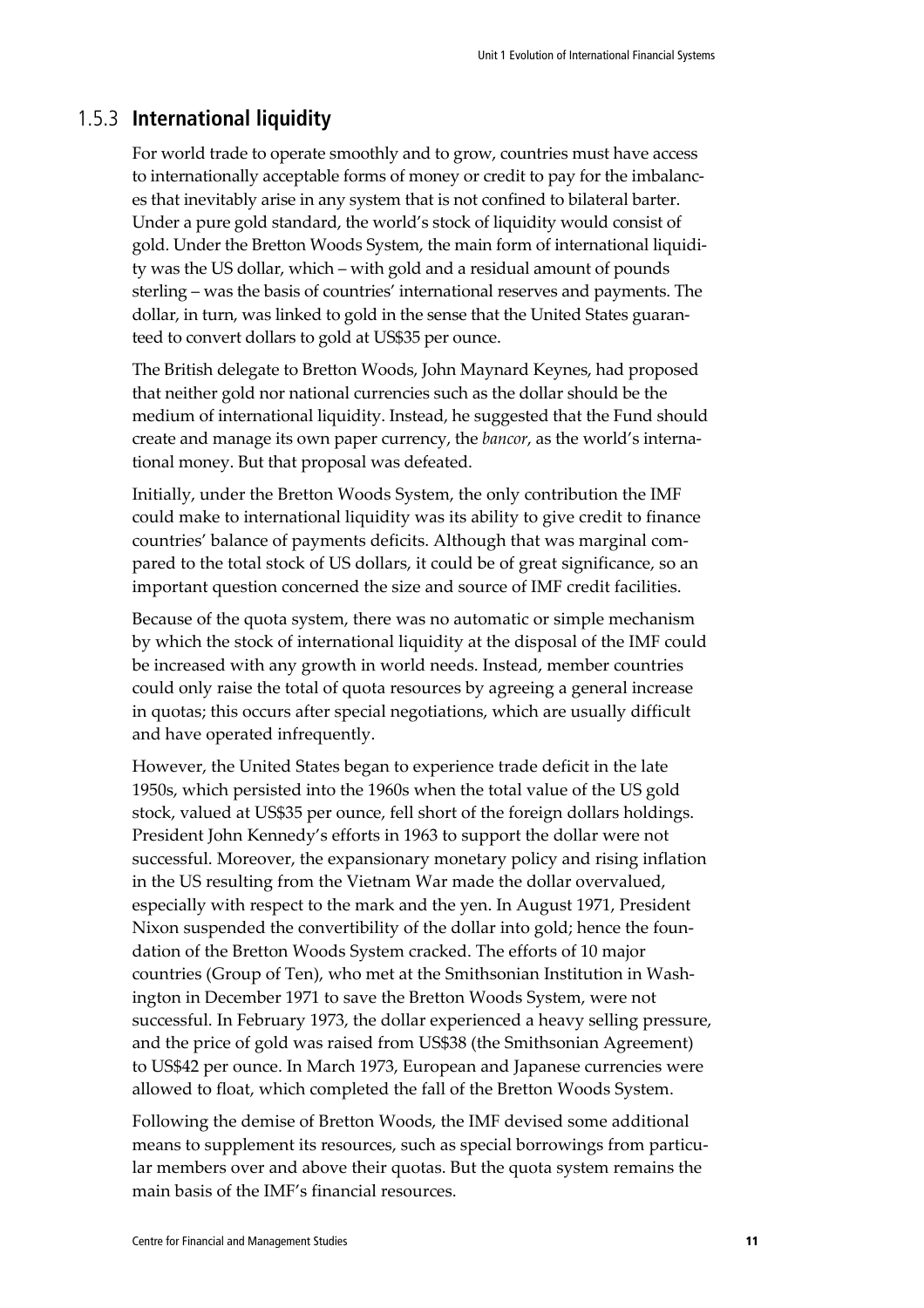#### 1.5.3 **International liquidity**

For world trade to operate smoothly and to grow, countries must have access to internationally acceptable forms of money or credit to pay for the imbalances that inevitably arise in any system that is not confined to bilateral barter. Under a pure gold standard, the world's stock of liquidity would consist of gold. Under the Bretton Woods System, the main form of international liquidity was the US dollar, which – with gold and a residual amount of pounds sterling – was the basis of countries' international reserves and payments. The dollar, in turn, was linked to gold in the sense that the United States guaranteed to convert dollars to gold at US\$35 per ounce.

The British delegate to Bretton Woods, John Maynard Keynes, had proposed that neither gold nor national currencies such as the dollar should be the medium of international liquidity. Instead, he suggested that the Fund should create and manage its own paper currency, the *bancor*, as the world's international money. But that proposal was defeated.

Initially, under the Bretton Woods System, the only contribution the IMF could make to international liquidity was its ability to give credit to finance countries' balance of payments deficits. Although that was marginal compared to the total stock of US dollars, it could be of great significance, so an important question concerned the size and source of IMF credit facilities.

Because of the quota system, there was no automatic or simple mechanism by which the stock of international liquidity at the disposal of the IMF could be increased with any growth in world needs. Instead, member countries could only raise the total of quota resources by agreeing a general increase in quotas; this occurs after special negotiations, which are usually difficult and have operated infrequently.

However, the United States began to experience trade deficit in the late 1950s, which persisted into the 1960s when the total value of the US gold stock, valued at US\$35 per ounce, fell short of the foreign dollars holdings. President John Kennedy's efforts in 1963 to support the dollar were not successful. Moreover, the expansionary monetary policy and rising inflation in the US resulting from the Vietnam War made the dollar overvalued, especially with respect to the mark and the yen. In August 1971, President Nixon suspended the convertibility of the dollar into gold; hence the foundation of the Bretton Woods System cracked. The efforts of 10 major countries (Group of Ten), who met at the Smithsonian Institution in Washington in December 1971 to save the Bretton Woods System, were not successful. In February 1973, the dollar experienced a heavy selling pressure, and the price of gold was raised from US\$38 (the Smithsonian Agreement) to US\$42 per ounce. In March 1973, European and Japanese currencies were allowed to float, which completed the fall of the Bretton Woods System.

Following the demise of Bretton Woods, the IMF devised some additional means to supplement its resources, such as special borrowings from particular members over and above their quotas. But the quota system remains the main basis of the IMF's financial resources.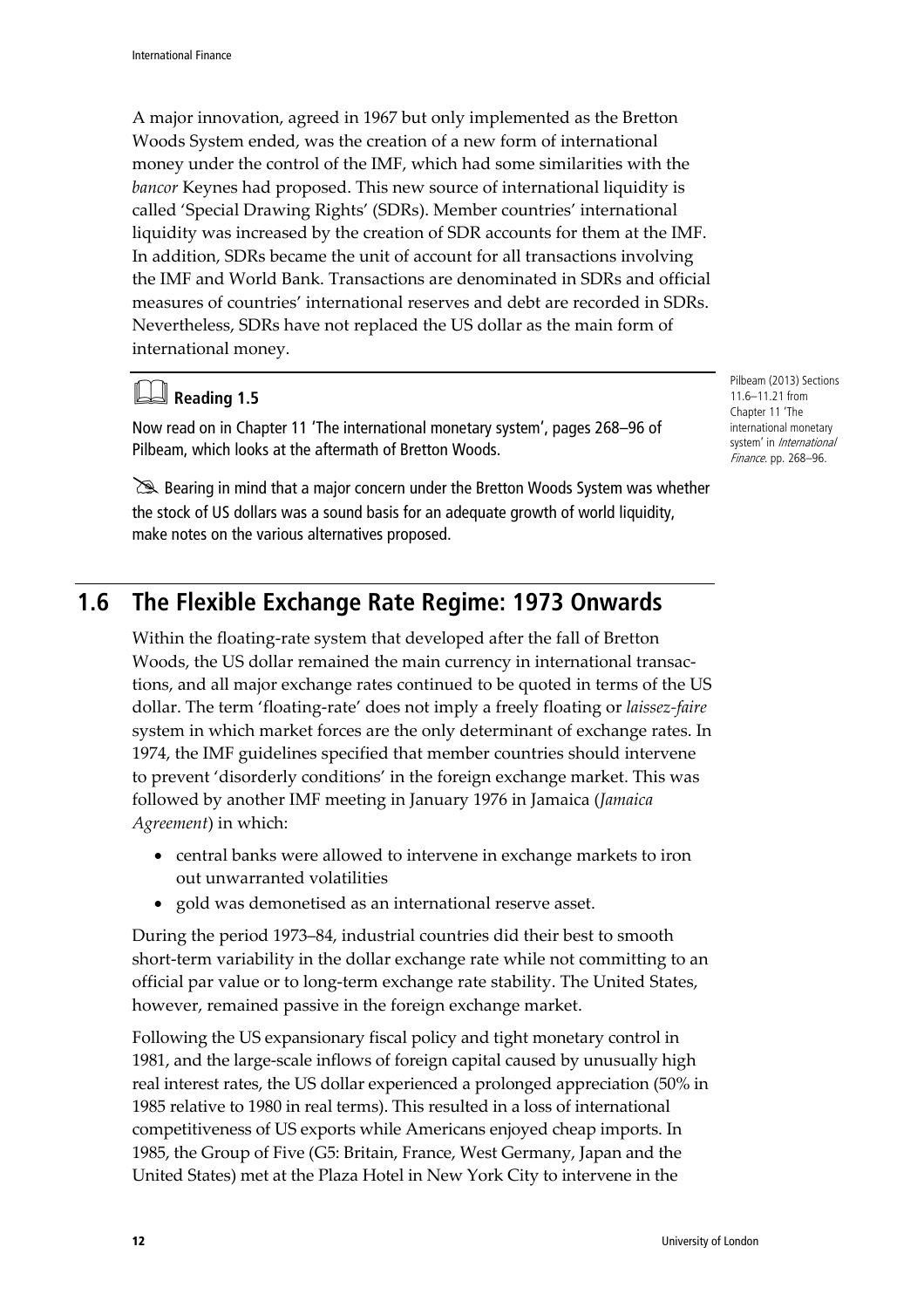A major innovation, agreed in 1967 but only implemented as the Bretton Woods System ended, was the creation of a new form of international money under the control of the IMF, which had some similarities with the *bancor* Keynes had proposed. This new source of international liquidity is called 'Special Drawing Rights' (SDRs). Member countries' international liquidity was increased by the creation of SDR accounts for them at the IMF. In addition, SDRs became the unit of account for all transactions involving the IMF and World Bank. Transactions are denominated in SDRs and official measures of countries' international reserves and debt are recorded in SDRs. Nevertheless, SDRs have not replaced the US dollar as the main form of international money.

### **Reading 1.5**

Now read on in Chapter 11 'The international monetary system', pages 268–96 of Pilbeam, which looks at the aftermath of Bretton Woods.

Bearing in mind that a major concern under the Bretton Woods System was whether the stock of US dollars was a sound basis for an adequate growth of world liquidity, make notes on the various alternatives proposed.

# **1.6 The Flexible Exchange Rate Regime: 1973 Onwards**

Within the floating-rate system that developed after the fall of Bretton Woods, the US dollar remained the main currency in international transactions, and all major exchange rates continued to be quoted in terms of the US dollar. The term 'floating-rate' does not imply a freely floating or *laissez-faire* system in which market forces are the only determinant of exchange rates. In 1974, the IMF guidelines specified that member countries should intervene to prevent 'disorderly conditions' in the foreign exchange market. This was followed by another IMF meeting in January 1976 in Jamaica (*Jamaica Agreement*) in which:

- central banks were allowed to intervene in exchange markets to iron out unwarranted volatilities
- gold was demonetised as an international reserve asset.

During the period 1973–84, industrial countries did their best to smooth short-term variability in the dollar exchange rate while not committing to an official par value or to long-term exchange rate stability. The United States, however, remained passive in the foreign exchange market.

Following the US expansionary fiscal policy and tight monetary control in 1981, and the large-scale inflows of foreign capital caused by unusually high real interest rates, the US dollar experienced a prolonged appreciation (50% in 1985 relative to 1980 in real terms). This resulted in a loss of international competitiveness of US exports while Americans enjoyed cheap imports. In 1985, the Group of Five (G5: Britain, France, West Germany, Japan and the United States) met at the Plaza Hotel in New York City to intervene in the

Pilbeam (2013) Sections 11.6–11.21 from Chanter 11 'The international monetary system' in *International* Finance. pp. 268–96.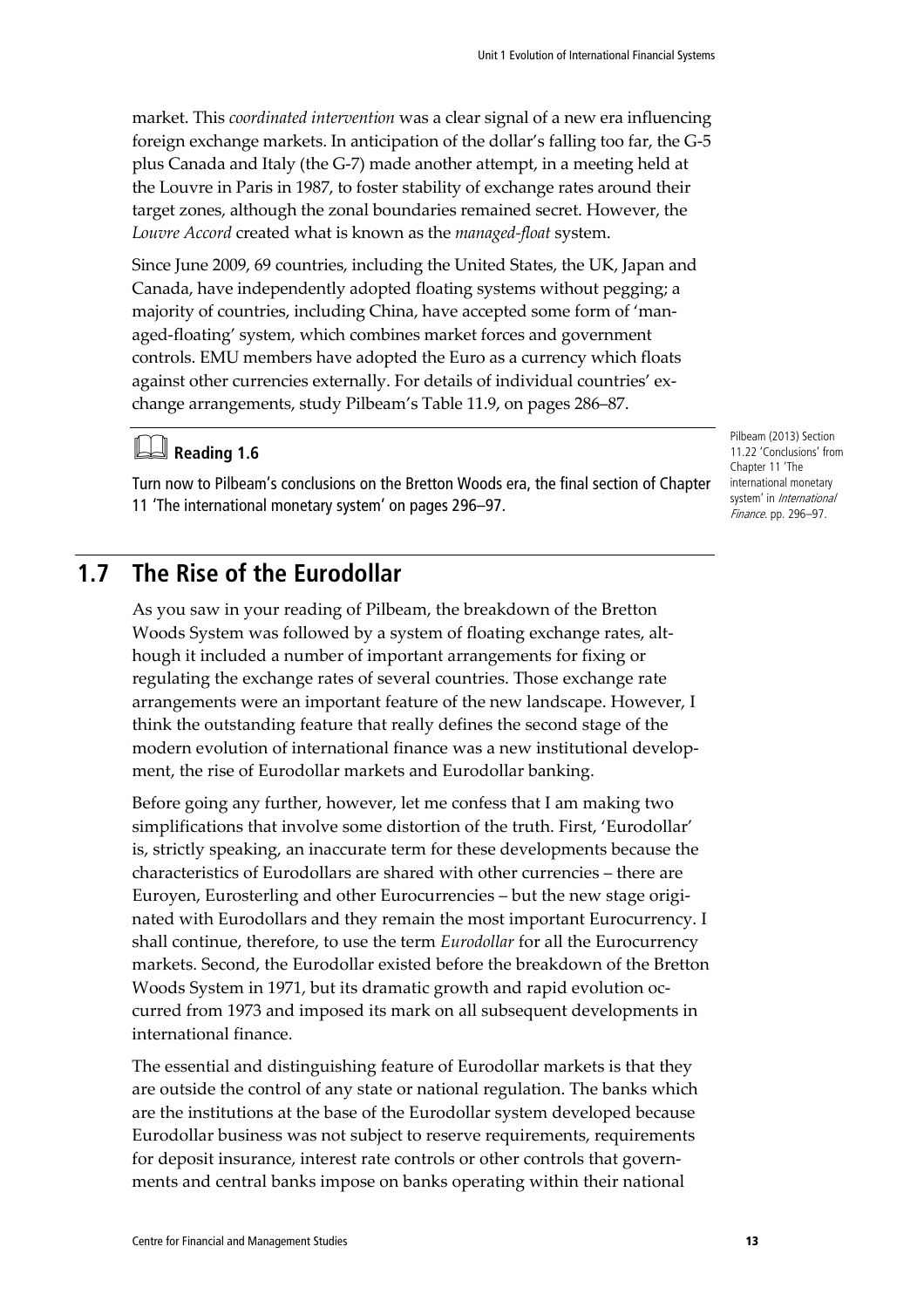market. This *coordinated intervention* was a clear signal of a new era influencing foreign exchange markets. In anticipation of the dollar's falling too far, the G-5 plus Canada and Italy (the G-7) made another attempt, in a meeting held at the Louvre in Paris in 1987, to foster stability of exchange rates around their target zones, although the zonal boundaries remained secret. However, the *Louvre Accord* created what is known as the *managed-float* system.

Since June 2009, 69 countries, including the United States, the UK, Japan and Canada, have independently adopted floating systems without pegging; a majority of countries, including China, have accepted some form of 'managed-floating' system, which combines market forces and government controls. EMU members have adopted the Euro as a currency which floats against other currencies externally. For details of individual countries' exchange arrangements, study Pilbeam's Table 11.9, on pages 286–87.

# **Reading 1.6**

Turn now to Pilbeam's conclusions on the Bretton Woods era, the final section of Chapter 11 'The international monetary system' on pages 296–97.

### **1.7 The Rise of the Eurodollar**

As you saw in your reading of Pilbeam, the breakdown of the Bretton Woods System was followed by a system of floating exchange rates, although it included a number of important arrangements for fixing or regulating the exchange rates of several countries. Those exchange rate arrangements were an important feature of the new landscape. However, I think the outstanding feature that really defines the second stage of the modern evolution of international finance was a new institutional development, the rise of Eurodollar markets and Eurodollar banking.

Before going any further, however, let me confess that I am making two simplifications that involve some distortion of the truth. First, 'Eurodollar' is, strictly speaking, an inaccurate term for these developments because the characteristics of Eurodollars are shared with other currencies – there are Euroyen, Eurosterling and other Eurocurrencies – but the new stage originated with Eurodollars and they remain the most important Eurocurrency. I shall continue, therefore, to use the term *Eurodollar* for all the Eurocurrency markets. Second, the Eurodollar existed before the breakdown of the Bretton Woods System in 1971, but its dramatic growth and rapid evolution occurred from 1973 and imposed its mark on all subsequent developments in international finance.

The essential and distinguishing feature of Eurodollar markets is that they are outside the control of any state or national regulation. The banks which are the institutions at the base of the Eurodollar system developed because Eurodollar business was not subject to reserve requirements, requirements for deposit insurance, interest rate controls or other controls that governments and central banks impose on banks operating within their national

Pilbeam (2013) Section 11.22 'Conclusions' from Chapter 11 'The international monetary system' in International Finance. pp. 296–97.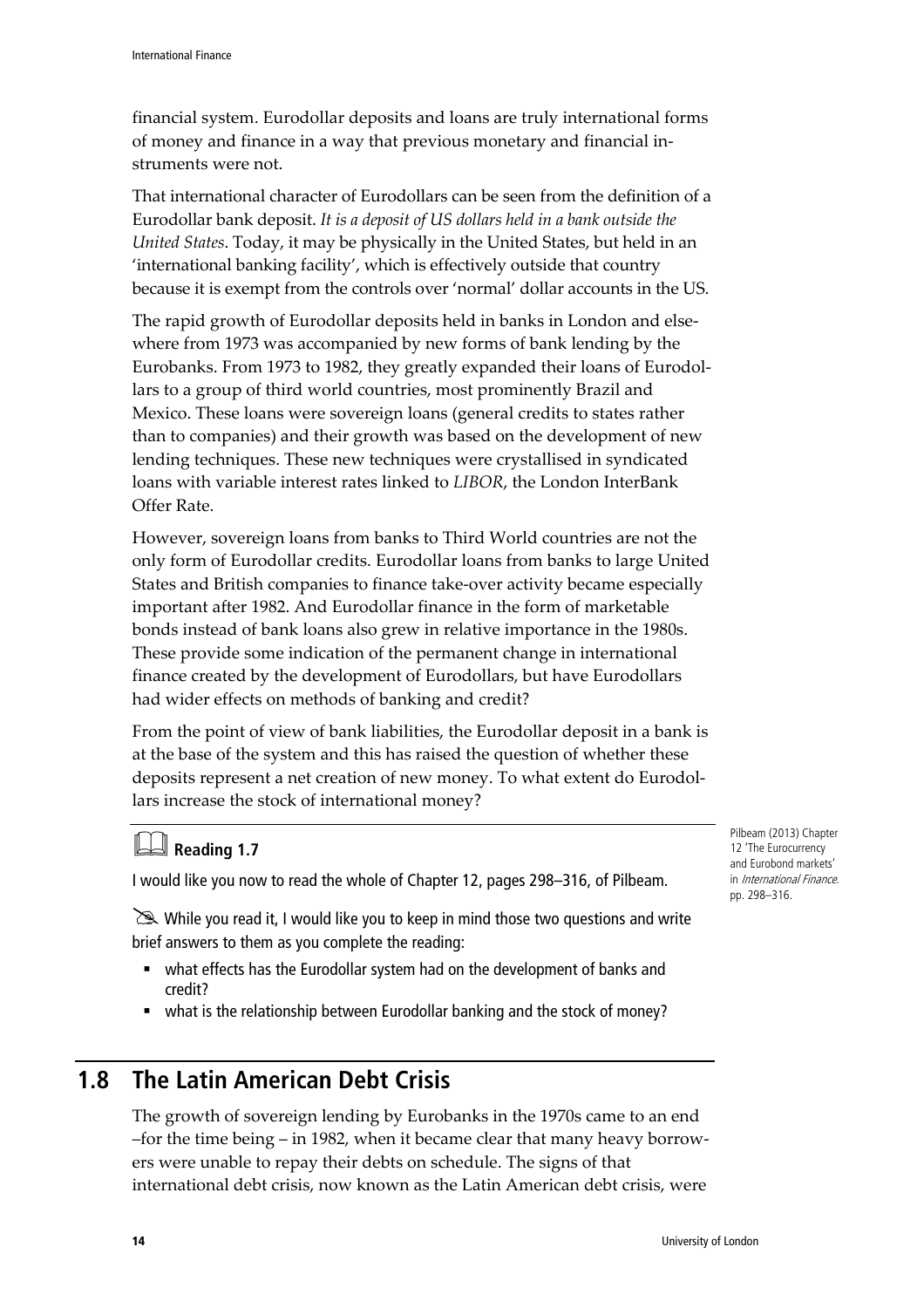financial system. Eurodollar deposits and loans are truly international forms of money and finance in a way that previous monetary and financial instruments were not.

That international character of Eurodollars can be seen from the definition of a Eurodollar bank deposit. *It is a deposit of US dollars held in a bank outside the United States*. Today, it may be physically in the United States, but held in an 'international banking facility', which is effectively outside that country because it is exempt from the controls over 'normal' dollar accounts in the US.

The rapid growth of Eurodollar deposits held in banks in London and elsewhere from 1973 was accompanied by new forms of bank lending by the Eurobanks. From 1973 to 1982, they greatly expanded their loans of Eurodollars to a group of third world countries, most prominently Brazil and Mexico. These loans were sovereign loans (general credits to states rather than to companies) and their growth was based on the development of new lending techniques. These new techniques were crystallised in syndicated loans with variable interest rates linked to *LIBOR*, the London InterBank Offer Rate.

However, sovereign loans from banks to Third World countries are not the only form of Eurodollar credits. Eurodollar loans from banks to large United States and British companies to finance take-over activity became especially important after 1982. And Eurodollar finance in the form of marketable bonds instead of bank loans also grew in relative importance in the 1980s. These provide some indication of the permanent change in international finance created by the development of Eurodollars, but have Eurodollars had wider effects on methods of banking and credit?

From the point of view of bank liabilities, the Eurodollar deposit in a bank is at the base of the system and this has raised the question of whether these deposits represent a net creation of new money. To what extent do Eurodollars increase the stock of international money?

# **Reading 1.7**

I would like you now to read the whole of Chapter 12, pages 298–316, of Pilbeam.

 $\geq$  While you read it, I would like you to keep in mind those two questions and write brief answers to them as you complete the reading:

- what effects has the Eurodollar system had on the development of banks and credit?
- what is the relationship between Eurodollar banking and the stock of money?

### **1.8 The Latin American Debt Crisis**

The growth of sovereign lending by Eurobanks in the 1970s came to an end –for the time being – in 1982, when it became clear that many heavy borrowers were unable to repay their debts on schedule. The signs of that international debt crisis, now known as the Latin American debt crisis, were

Pilbeam (2013) Chapter 12 'The Eurocurrency and Eurobond markets' in International Finance. pp. 298–316.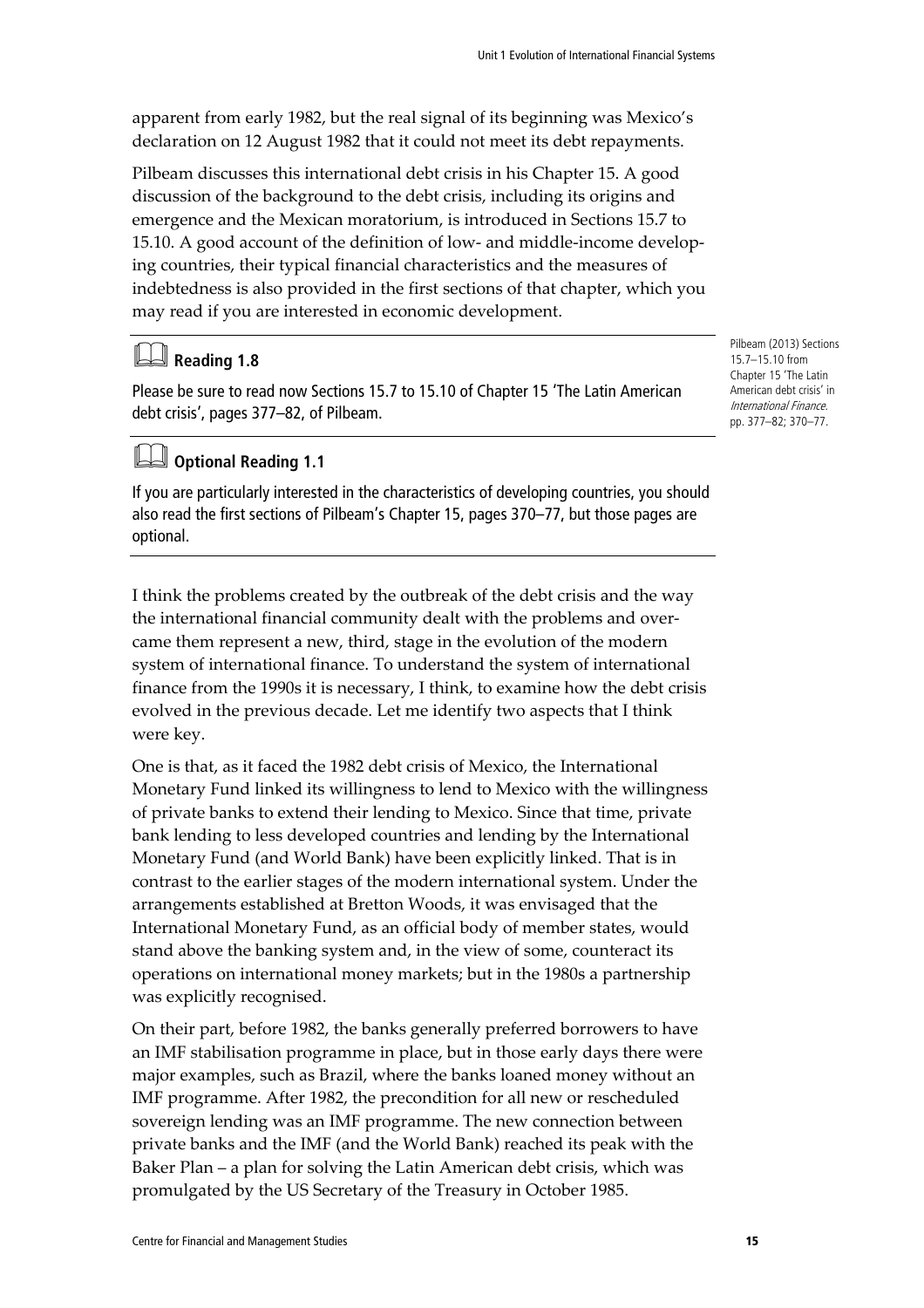apparent from early 1982, but the real signal of its beginning was Mexico's declaration on 12 August 1982 that it could not meet its debt repayments.

Pilbeam discusses this international debt crisis in his Chapter 15. A good discussion of the background to the debt crisis, including its origins and emergence and the Mexican moratorium, is introduced in Sections 15.7 to 15.10. A good account of the definition of low- and middle-income developing countries, their typical financial characteristics and the measures of indebtedness is also provided in the first sections of that chapter, which you may read if you are interested in economic development.

#### **Reading 1.8**

Please be sure to read now Sections 15.7 to 15.10 of Chapter 15 'The Latin American debt crisis', pages 377–82, of Pilbeam.

#### **Optional Reading 1.1**

If you are particularly interested in the characteristics of developing countries, you should also read the first sections of Pilbeam's Chapter 15, pages 370–77, but those pages are optional.

I think the problems created by the outbreak of the debt crisis and the way the international financial community dealt with the problems and overcame them represent a new, third, stage in the evolution of the modern system of international finance. To understand the system of international finance from the 1990s it is necessary, I think, to examine how the debt crisis evolved in the previous decade. Let me identify two aspects that I think were key.

One is that, as it faced the 1982 debt crisis of Mexico, the International Monetary Fund linked its willingness to lend to Mexico with the willingness of private banks to extend their lending to Mexico. Since that time, private bank lending to less developed countries and lending by the International Monetary Fund (and World Bank) have been explicitly linked. That is in contrast to the earlier stages of the modern international system. Under the arrangements established at Bretton Woods, it was envisaged that the International Monetary Fund, as an official body of member states, would stand above the banking system and, in the view of some, counteract its operations on international money markets; but in the 1980s a partnership was explicitly recognised.

On their part, before 1982, the banks generally preferred borrowers to have an IMF stabilisation programme in place, but in those early days there were major examples, such as Brazil, where the banks loaned money without an IMF programme. After 1982, the precondition for all new or rescheduled sovereign lending was an IMF programme. The new connection between private banks and the IMF (and the World Bank) reached its peak with the Baker Plan – a plan for solving the Latin American debt crisis, which was promulgated by the US Secretary of the Treasury in October 1985.

Pilbeam (2013) Sections 15.7–15.10 from Chapter 15 'The Latin American debt crisis' in International Finance. pp. 377–82; 370–77.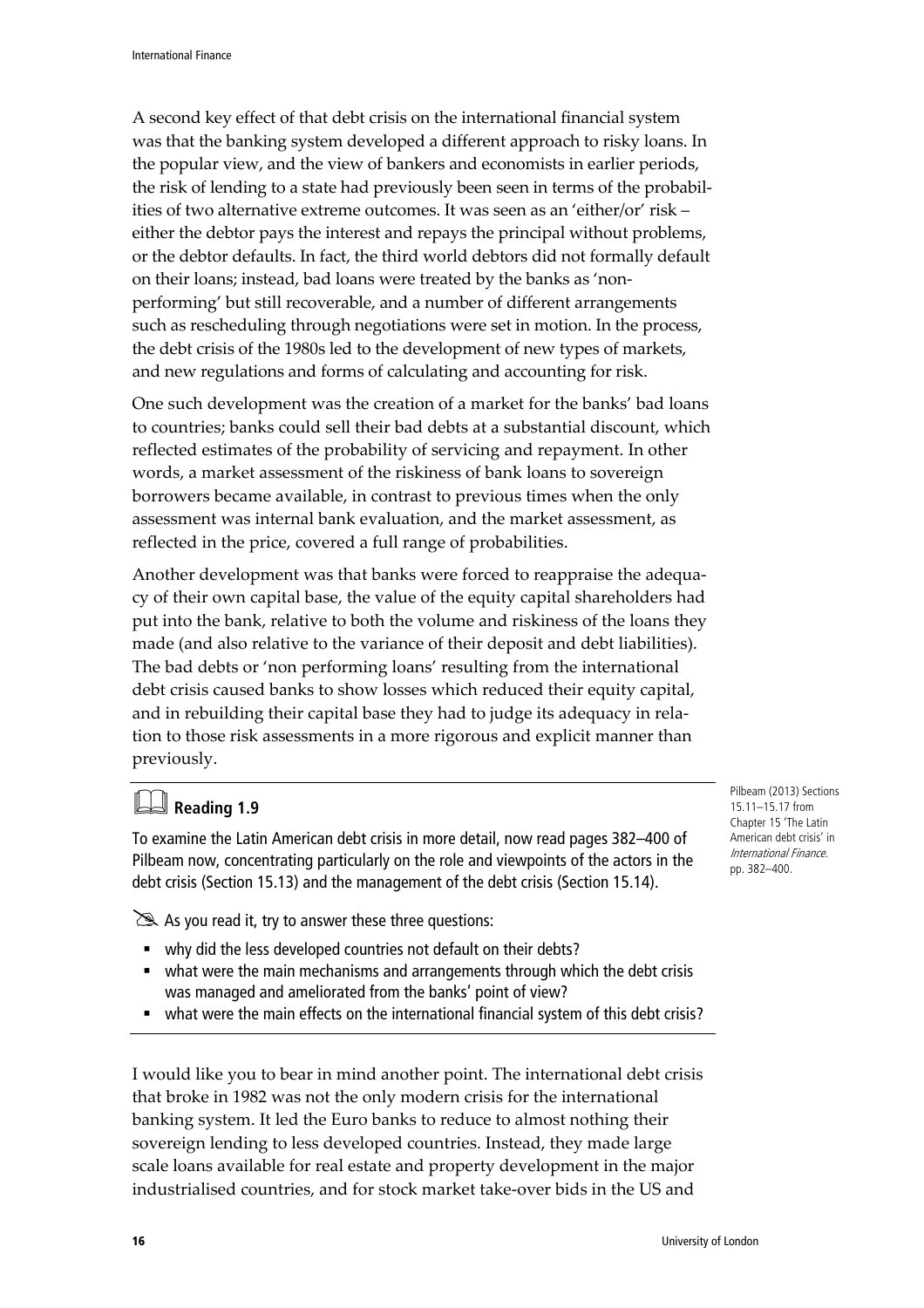A second key effect of that debt crisis on the international financial system was that the banking system developed a different approach to risky loans. In the popular view, and the view of bankers and economists in earlier periods, the risk of lending to a state had previously been seen in terms of the probabilities of two alternative extreme outcomes. It was seen as an 'either/or' risk – either the debtor pays the interest and repays the principal without problems, or the debtor defaults. In fact, the third world debtors did not formally default on their loans; instead, bad loans were treated by the banks as 'nonperforming' but still recoverable, and a number of different arrangements such as rescheduling through negotiations were set in motion. In the process, the debt crisis of the 1980s led to the development of new types of markets, and new regulations and forms of calculating and accounting for risk.

One such development was the creation of a market for the banks' bad loans to countries; banks could sell their bad debts at a substantial discount, which reflected estimates of the probability of servicing and repayment. In other words, a market assessment of the riskiness of bank loans to sovereign borrowers became available, in contrast to previous times when the only assessment was internal bank evaluation, and the market assessment, as reflected in the price, covered a full range of probabilities.

Another development was that banks were forced to reappraise the adequacy of their own capital base, the value of the equity capital shareholders had put into the bank, relative to both the volume and riskiness of the loans they made (and also relative to the variance of their deposit and debt liabilities). The bad debts or 'non performing loans' resulting from the international debt crisis caused banks to show losses which reduced their equity capital, and in rebuilding their capital base they had to judge its adequacy in relation to those risk assessments in a more rigorous and explicit manner than previously.

# **Reading 1.9**

To examine the Latin American debt crisis in more detail, now read pages 382–400 of Pilbeam now, concentrating particularly on the role and viewpoints of the actors in the debt crisis (Section 15.13) and the management of the debt crisis (Section 15.14).

 $\geq$  As you read it, try to answer these three questions:

- why did the less developed countries not default on their debts?
- what were the main mechanisms and arrangements through which the debt crisis was managed and ameliorated from the banks' point of view?
- what were the main effects on the international financial system of this debt crisis?

I would like you to bear in mind another point. The international debt crisis that broke in 1982 was not the only modern crisis for the international banking system. It led the Euro banks to reduce to almost nothing their sovereign lending to less developed countries. Instead, they made large scale loans available for real estate and property development in the major industrialised countries, and for stock market take-over bids in the US and

Pilbeam (2013) Sections 15.11–15.17 from Chapter 15 'The Latin American debt crisis' in International Finance. pp. 382–400.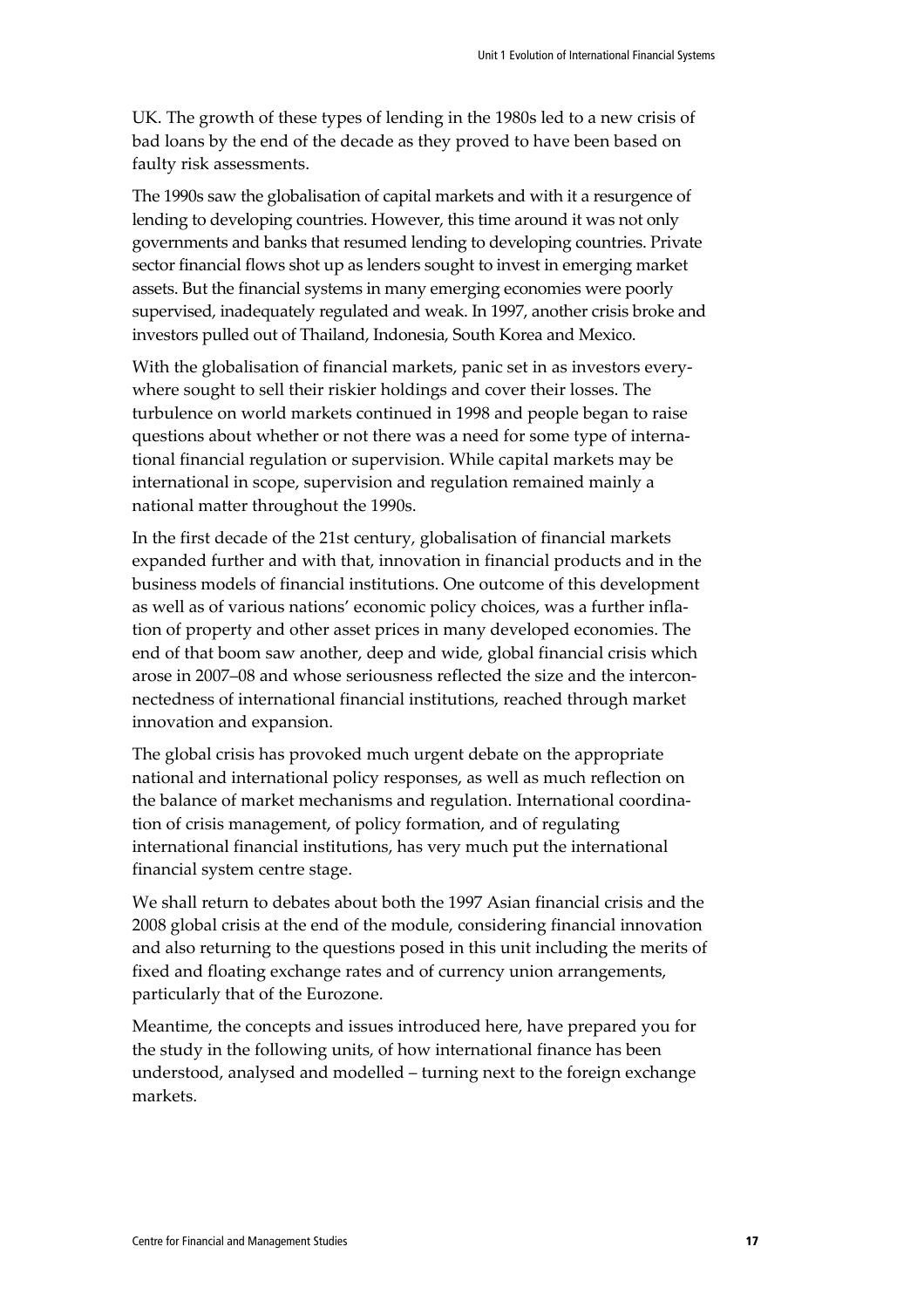UK. The growth of these types of lending in the 1980s led to a new crisis of bad loans by the end of the decade as they proved to have been based on faulty risk assessments.

The 1990s saw the globalisation of capital markets and with it a resurgence of lending to developing countries. However, this time around it was not only governments and banks that resumed lending to developing countries. Private sector financial flows shot up as lenders sought to invest in emerging market assets. But the financial systems in many emerging economies were poorly supervised, inadequately regulated and weak. In 1997, another crisis broke and investors pulled out of Thailand, Indonesia, South Korea and Mexico.

With the globalisation of financial markets, panic set in as investors everywhere sought to sell their riskier holdings and cover their losses. The turbulence on world markets continued in 1998 and people began to raise questions about whether or not there was a need for some type of international financial regulation or supervision. While capital markets may be international in scope, supervision and regulation remained mainly a national matter throughout the 1990s.

In the first decade of the 21st century, globalisation of financial markets expanded further and with that, innovation in financial products and in the business models of financial institutions. One outcome of this development as well as of various nations' economic policy choices, was a further inflation of property and other asset prices in many developed economies. The end of that boom saw another, deep and wide, global financial crisis which arose in 2007–08 and whose seriousness reflected the size and the interconnectedness of international financial institutions, reached through market innovation and expansion.

The global crisis has provoked much urgent debate on the appropriate national and international policy responses, as well as much reflection on the balance of market mechanisms and regulation. International coordination of crisis management, of policy formation, and of regulating international financial institutions, has very much put the international financial system centre stage.

We shall return to debates about both the 1997 Asian financial crisis and the 2008 global crisis at the end of the module, considering financial innovation and also returning to the questions posed in this unit including the merits of fixed and floating exchange rates and of currency union arrangements, particularly that of the Eurozone.

Meantime, the concepts and issues introduced here, have prepared you for the study in the following units, of how international finance has been understood, analysed and modelled – turning next to the foreign exchange markets.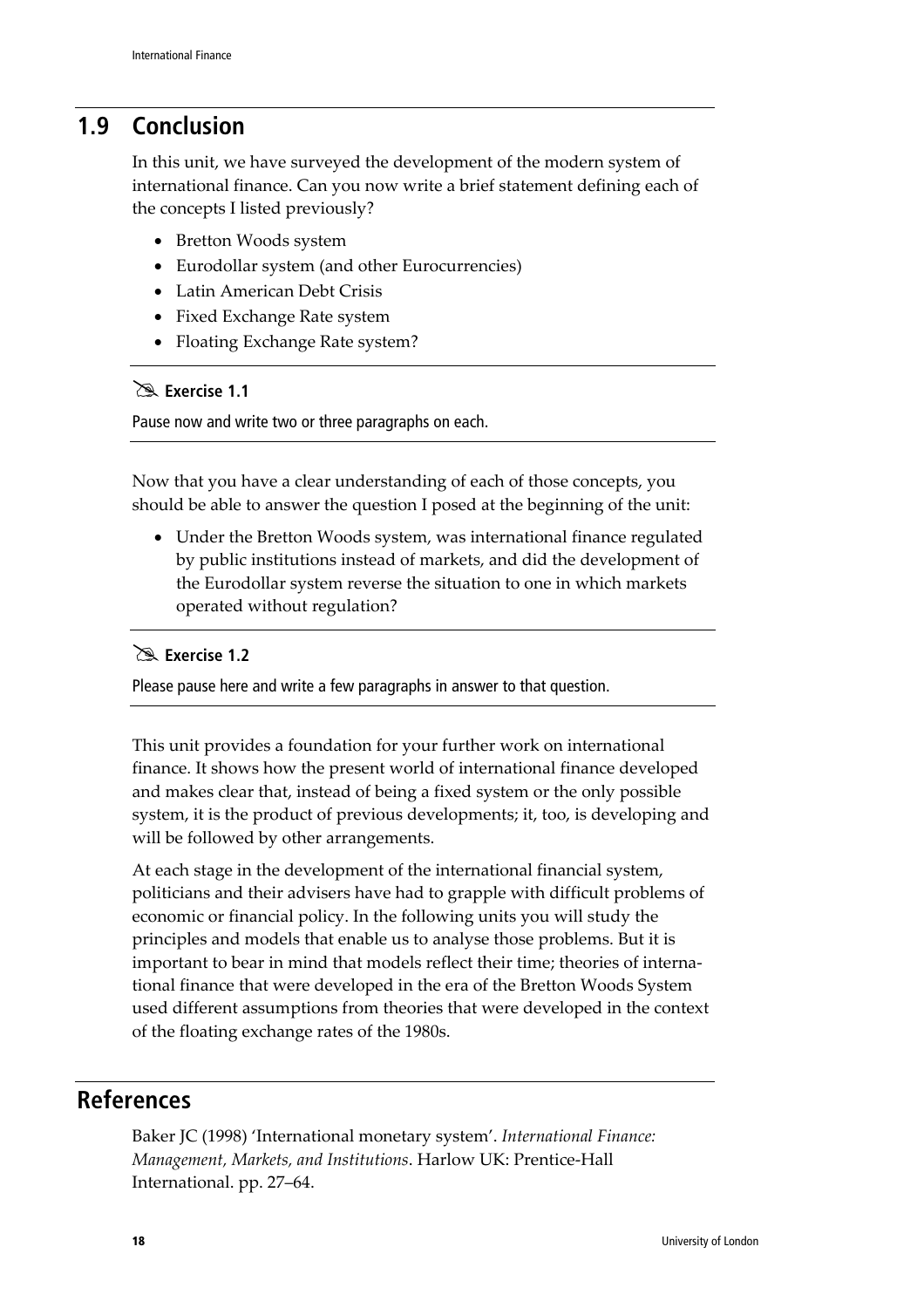### **1.9 Conclusion**

In this unit, we have surveyed the development of the modern system of international finance. Can you now write a brief statement defining each of the concepts I listed previously?

- Bretton Woods system
- Eurodollar system (and other Eurocurrencies)
- Latin American Debt Crisis
- Fixed Exchange Rate system
- Floating Exchange Rate system?

#### **Exercise 1.1**

Pause now and write two or three paragraphs on each.

Now that you have a clear understanding of each of those concepts, you should be able to answer the question I posed at the beginning of the unit:

• Under the Bretton Woods system, was international finance regulated by public institutions instead of markets, and did the development of the Eurodollar system reverse the situation to one in which markets operated without regulation?

#### **Exercise 1.2**

Please pause here and write a few paragraphs in answer to that question.

This unit provides a foundation for your further work on international finance. It shows how the present world of international finance developed and makes clear that, instead of being a fixed system or the only possible system, it is the product of previous developments; it, too, is developing and will be followed by other arrangements.

At each stage in the development of the international financial system, politicians and their advisers have had to grapple with difficult problems of economic or financial policy. In the following units you will study the principles and models that enable us to analyse those problems. But it is important to bear in mind that models reflect their time; theories of international finance that were developed in the era of the Bretton Woods System used different assumptions from theories that were developed in the context of the floating exchange rates of the 1980s.

### **References**

Baker JC (1998) 'International monetary system'. *International Finance: Management, Markets, and Institutions*. Harlow UK: Prentice-Hall International. pp. 27–64.